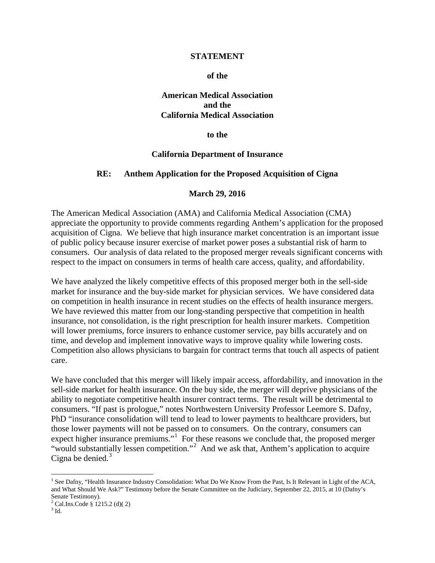#### **STATEMENT**

#### **of the**

### **American Medical Association and the California Medical Association**

**to the**

#### **California Department of Insurance**

#### **RE: Anthem Application for the Proposed Acquisition of Cigna**

#### **March 29, 2016**

The American Medical Association (AMA) and California Medical Association (CMA) appreciate the opportunity to provide comments regarding Anthem's application for the proposed acquisition of Cigna. We believe that high insurance market concentration is an important issue of public policy because insurer exercise of market power poses a substantial risk of harm to consumers. Our analysis of data related to the proposed merger reveals significant concerns with respect to the impact on consumers in terms of health care access, quality, and affordability.

We have analyzed the likely competitive effects of this proposed merger both in the sell-side market for insurance and the buy-side market for physician services. We have considered data on competition in health insurance in recent studies on the effects of health insurance mergers. We have reviewed this matter from our long-standing perspective that competition in health insurance, not consolidation, is the right prescription for health insurer markets. Competition will lower premiums, force insurers to enhance customer service, pay bills accurately and on time, and develop and implement innovative ways to improve quality while lowering costs. Competition also allows physicians to bargain for contract terms that touch all aspects of patient care.

We have concluded that this merger will likely impair access, affordability, and innovation in the sell-side market for health insurance. On the buy side, the merger will deprive physicians of the ability to negotiate competitive health insurer contract terms. The result will be detrimental to consumers. "If past is prologue," notes Northwestern University Professor Leemore S. Dafny, PhD "insurance consolidation will tend to lead to lower payments to healthcare providers, but those lower payments will not be passed on to consumers. On the contrary, consumers can expect higher insurance premiums."<sup>[1](#page-0-0)</sup> For these reasons we conclude that, the proposed merger "would substantially lessen competition."<sup>[2](#page-0-1)</sup> And we ask that, Anthem's application to acquire Cigna be denied. $3$ 

<span id="page-0-0"></span><sup>&</sup>lt;sup>1</sup> See Dafny, "Health Insurance Industry Consolidation: What Do We Know From the Past, Is It Relevant in Light of the ACA, and What Should We Ask?" Testimony before the Senate Committee on the Judiciary, September 22, 2015, at 10 (Dafny's Senate Testimony).

<span id="page-0-2"></span><span id="page-0-1"></span> $^{2}$  Cal.Ins.Code § 1215.2 (d)(2)  $^{3}$  Id.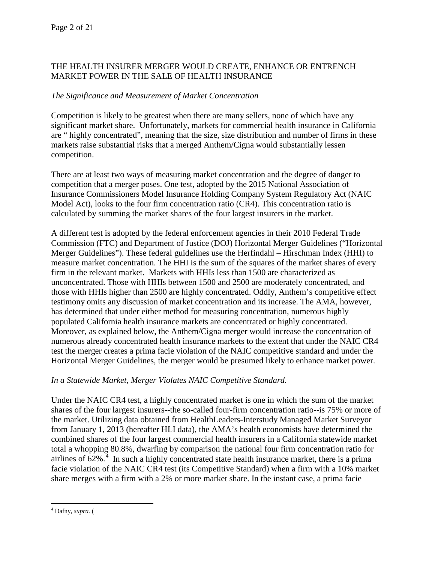# THE HEALTH INSURER MERGER WOULD CREATE, ENHANCE OR ENTRENCH MARKET POWER IN THE SALE OF HEALTH INSURANCE

# *The Significance and Measurement of Market Concentration*

Competition is likely to be greatest when there are many sellers, none of which have any significant market share. Unfortunately, markets for commercial health insurance in California are " highly concentrated", meaning that the size, size distribution and number of firms in these markets raise substantial risks that a merged Anthem/Cigna would substantially lessen competition.

There are at least two ways of measuring market concentration and the degree of danger to competition that a merger poses. One test, adopted by the 2015 National Association of Insurance Commissioners Model Insurance Holding Company System Regulatory Act (NAIC Model Act), looks to the four firm concentration ratio (CR4). This concentration ratio is calculated by summing the market shares of the four largest insurers in the market.

A different test is adopted by the federal enforcement agencies in their 2010 Federal Trade Commission (FTC) and Department of Justice (DOJ) Horizontal Merger Guidelines ("Horizontal Merger Guidelines"). These federal guidelines use the Herfindahl – Hirschman Index (HHI) to measure market concentration. The HHI is the sum of the squares of the market shares of every firm in the relevant market. Markets with HHIs less than 1500 are characterized as unconcentrated. Those with HHIs between 1500 and 2500 are moderately concentrated, and those with HHIs higher than 2500 are highly concentrated. Oddly, Anthem's competitive effect testimony omits any discussion of market concentration and its increase. The AMA, however, has determined that under either method for measuring concentration, numerous highly populated California health insurance markets are concentrated or highly concentrated. Moreover, as explained below, the Anthem/Cigna merger would increase the concentration of numerous already concentrated health insurance markets to the extent that under the NAIC CR4 test the merger creates a prima facie violation of the NAIC competitive standard and under the Horizontal Merger Guidelines, the merger would be presumed likely to enhance market power.

# *In a Statewide Market, Merger Violates NAIC Competitive Standard.*

Under the NAIC CR4 test, a highly concentrated market is one in which the sum of the market shares of the four largest insurers--the so-called four-firm concentration ratio--is 75% or more of the market. Utilizing data obtained from HealthLeaders-Interstudy Managed Market Surveyor from January 1, 2013 (hereafter HLI data), the AMA's health economists have determined the combined shares of the four largest commercial health insurers in a California statewide market total a whopping 80.8%, dwarfing by comparison the national four firm concentration ratio for airlines of  $62\%$ <sup>[4](#page-1-0)</sup>. In such a highly concentrated state health insurance market, there is a prima facie violation of the NAIC CR4 test (its Competitive Standard) when a firm with a 10% market share merges with a firm with a 2% or more market share. In the instant case, a prima facie

<span id="page-1-0"></span> <sup>4</sup> Dafny, *supra.* (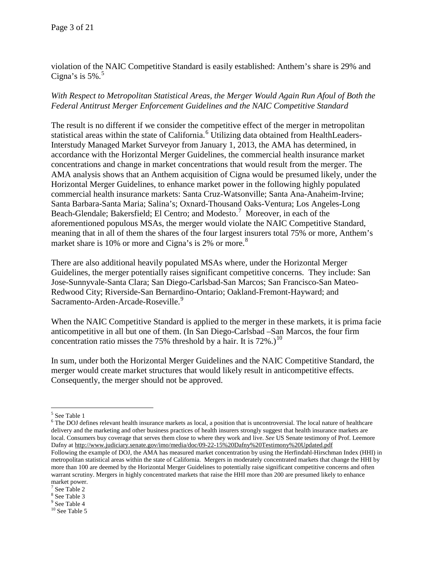violation of the NAIC Competitive Standard is easily established: Anthem's share is 29% and Cigna's is  $5\%$  $5\%$ .<sup>5</sup>

# *With Respect to Metropolitan Statistical Areas, the Merger Would Again Run Afoul of Both the Federal Antitrust Merger Enforcement Guidelines and the NAIC Competitive Standard*

The result is no different if we consider the competitive effect of the merger in metropolitan statistical areas within the state of California.<sup>[6](#page-2-1)</sup> Utilizing data obtained from HealthLeaders-Interstudy Managed Market Surveyor from January 1, 2013, the AMA has determined, in accordance with the Horizontal Merger Guidelines, the commercial health insurance market concentrations and change in market concentrations that would result from the merger. The AMA analysis shows that an Anthem acquisition of Cigna would be presumed likely, under the Horizontal Merger Guidelines, to enhance market power in the following highly populated commercial health insurance markets: Santa Cruz-Watsonville; Santa Ana-Anaheim-Irvine; Santa Barbara-Santa Maria; Salina's; Oxnard-Thousand Oaks-Ventura; Los Angeles-Long Beach-Glendale; Bakersfield; El Centro; and Modesto.<sup>[7](#page-2-2)</sup> Moreover, in each of the aforementioned populous MSAs, the merger would violate the NAIC Competitive Standard, meaning that in all of them the shares of the four largest insurers total 75% or more, Anthem's market share is 10% or more and Cigna's is 2% or more.<sup>[8](#page-2-3)</sup>

There are also additional heavily populated MSAs where, under the Horizontal Merger Guidelines, the merger potentially raises significant competitive concerns. They include: San Jose-Sunnyvale-Santa Clara; San Diego-Carlsbad-San Marcos; San Francisco-San Mateo-Redwood City; Riverside-San Bernardino-Ontario; Oakland-Fremont-Hayward; and Sacramento-Arden-Arcade-Roseville.<sup>[9](#page-2-4)</sup>

When the NAIC Competitive Standard is applied to the merger in these markets, it is prima facie anticompetitive in all but one of them. (In San Diego-Carlsbad –San Marcos, the four firm concentration ratio misses the 75% threshold by a hair. It is  $72\%$ .)<sup>[10](#page-2-5)</sup>

In sum, under both the Horizontal Merger Guidelines and the NAIC Competitive Standard, the merger would create market structures that would likely result in anticompetitive effects. Consequently, the merger should not be approved.

<span id="page-2-2"></span>See Table 2

<span id="page-2-0"></span> <sup>5</sup> See Table 1

<span id="page-2-1"></span><sup>&</sup>lt;sup>6</sup> The DOJ defines relevant health insurance markets as local, a position that is uncontroversial. The local nature of healthcare delivery and the marketing and other business practices of health insurers strongly suggest that health insurance markets are local. Consumers buy coverage that serves them close to where they work and live. *See* US Senate testimony of Prof. Leemore Dafny a[t http://www.judiciary.senate.gov/imo/media/doc/09-22-15%20Dafny%20Testimony%20Updated.pdf](http://www.judiciary.senate.gov/imo/media/doc/09-22-15%20Dafny%20Testimony%20Updated.pdf)  Following the example of DOJ, the AMA has measured market concentration by using the Herfindahl-Hirschman Index (HHI) in metropolitan statistical areas within the state of California. Mergers in moderately concentrated markets that change the HHI by more than 100 are deemed by the Horizontal Merger Guidelines to potentially raise significant competitive concerns and often warrant scrutiny. Mergers in highly concentrated markets that raise the HHI more than 200 are presumed likely to enhance market power.

<span id="page-2-3"></span><sup>8</sup> See Table 3

<span id="page-2-4"></span><sup>9</sup> See Table 4

<span id="page-2-5"></span> $10$  See Table 5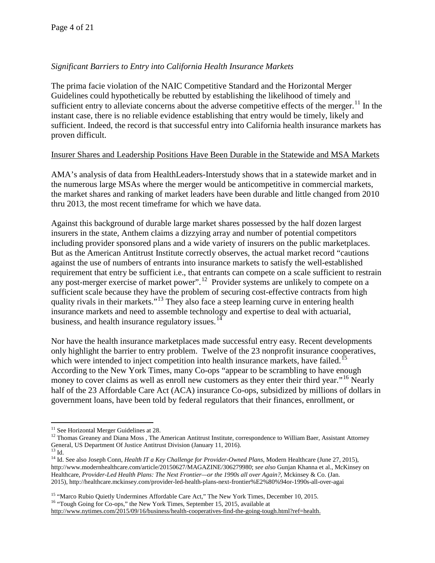# *Significant Barriers to Entry into California Health Insurance Markets*

The prima facie violation of the NAIC Competitive Standard and the Horizontal Merger Guidelines could hypothetically be rebutted by establishing the likelihood of timely and sufficient entry to alleviate concerns about the adverse competitive effects of the merger.<sup>[11](#page-3-0)</sup> In the instant case, there is no reliable evidence establishing that entry would be timely, likely and sufficient. Indeed, the record is that successful entry into California health insurance markets has proven difficult.

## Insurer Shares and Leadership Positions Have Been Durable in the Statewide and MSA Markets

AMA's analysis of data from HealthLeaders-Interstudy shows that in a statewide market and in the numerous large MSAs where the merger would be anticompetitive in commercial markets, the market shares and ranking of market leaders have been durable and little changed from 2010 thru 2013, the most recent timeframe for which we have data.

Against this background of durable large market shares possessed by the half dozen largest insurers in the state, Anthem claims a dizzying array and number of potential competitors including provider sponsored plans and a wide variety of insurers on the public marketplaces. But as the American Antitrust Institute correctly observes, the actual market record "cautions against the use of numbers of entrants into insurance markets to satisfy the well-established requirement that entry be sufficient i.e., that entrants can compete on a scale sufficient to restrain any post-merger exercise of market power".<sup>[12](#page-3-1)</sup> Provider systems are unlikely to compete on a sufficient scale because they have the problem of securing cost-effective contracts from high quality rivals in their markets."<sup>[13](#page-3-2)</sup> They also face a steep learning curve in entering health insurance markets and need to assemble technology and expertise to deal with actuarial, business, and health insurance regulatory issues.<sup>[14](#page-3-3)</sup>

Nor have the health insurance marketplaces made successful entry easy. Recent developments only highlight the barrier to entry problem. Twelve of the 23 nonprofit insurance cooperatives, which were intended to inject competition into health insurance markets, have failed.<sup>[15](#page-3-4)</sup> According to the New York Times, many Co-ops "appear to be scrambling to have enough money to cover claims as well as enroll new customers as they enter their third year."<sup>[16](#page-3-5)</sup> Nearly half of the 23 Affordable Care Act (ACA) insurance Co-ops, subsidized by millions of dollars in government loans, have been told by federal regulators that their finances, enrollment, or

<span id="page-3-5"></span>

<span id="page-3-1"></span><span id="page-3-0"></span><sup>&</sup>lt;sup>11</sup> See Horizontal Merger Guidelines at 28.<br><sup>12</sup> Thomas Greaney and Diana Moss, The American Antitrust Institute, correspondence to William Baer, Assistant Attorney General, US Department Of Justice Antitrust Division (J

<span id="page-3-3"></span><span id="page-3-2"></span><sup>&</sup>lt;sup>14</sup> Id. See also Joseph Conn, *Health IT a Key Challenge for Provider-Owned Plans*, Modern Healthcare (June 27, 2015), http://www.modernhealthcare.com/article/20150627/MAGAZINE/306279980; *see also* Gunjan Khanna et al., McKinsey on Healthcare, *Provider-Led Health Plans: The Next Frontier—or the 1990s all over Again?*, Mckinsey & Co. (Jan. 2015), http://healthcare.mckinsey.com/provider-led-health-plans-next-frontier%E2%80%94or-1990s-all-over-agai

<span id="page-3-4"></span><sup>&</sup>lt;sup>15</sup> "Marco Rubio Quietly Undermines Affordable Care Act," The New York Times, December 10, 2015.<br><sup>16</sup> "Tough Going for Co-ops," the New York Times, September 15, 2015, available at

[http://www.nytimes.com/2015/09/16/business/health-cooperatives-find-the-going-tough.html?ref=health.](http://www.nytimes.com/2015/09/16/business/health-cooperatives-find-the-going-tough.html?ref=health)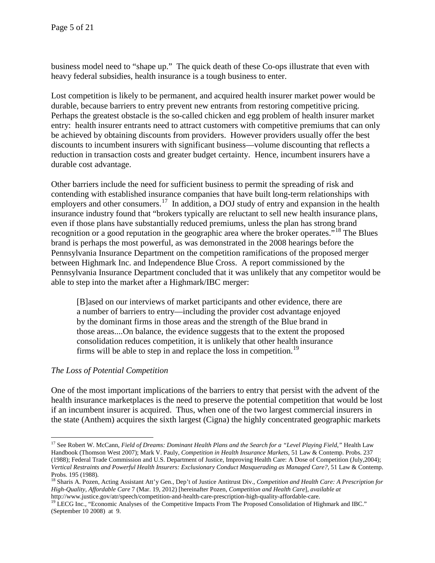business model need to "shape up." The quick death of these Co-ops illustrate that even with heavy federal subsidies, health insurance is a tough business to enter.

Lost competition is likely to be permanent, and acquired health insurer market power would be durable, because barriers to entry prevent new entrants from restoring competitive pricing. Perhaps the greatest obstacle is the so-called chicken and egg problem of health insurer market entry: health insurer entrants need to attract customers with competitive premiums that can only be achieved by obtaining discounts from providers. However providers usually offer the best discounts to incumbent insurers with significant business—volume discounting that reflects a reduction in transaction costs and greater budget certainty. Hence, incumbent insurers have a durable cost advantage.

Other barriers include the need for sufficient business to permit the spreading of risk and contending with established insurance companies that have built long-term relationships with employers and other consumers.<sup>[17](#page-4-0)</sup> In addition, a DOJ study of entry and expansion in the health insurance industry found that "brokers typically are reluctant to sell new health insurance plans, even if those plans have substantially reduced premiums, unless the plan has strong brand recognition or a good reputation in the geographic area where the broker operates."[18](#page-4-1) The Blues brand is perhaps the most powerful, as was demonstrated in the 2008 hearings before the Pennsylvania Insurance Department on the competition ramifications of the proposed merger between Highmark Inc. and Independence Blue Cross. A report commissioned by the Pennsylvania Insurance Department concluded that it was unlikely that any competitor would be able to step into the market after a Highmark/IBC merger:

[B]ased on our interviews of market participants and other evidence, there are a number of barriers to entry—including the provider cost advantage enjoyed by the dominant firms in those areas and the strength of the Blue brand in those areas....On balance, the evidence suggests that to the extent the proposed consolidation reduces competition, it is unlikely that other health insurance firms will be able to step in and replace the loss in competition.<sup>[19](#page-4-2)</sup>

# *The Loss of Potential Competition*

One of the most important implications of the barriers to entry that persist with the advent of the health insurance marketplaces is the need to preserve the potential competition that would be lost if an incumbent insurer is acquired. Thus, when one of the two largest commercial insurers in the state (Anthem) acquires the sixth largest (Cigna) the highly concentrated geographic markets

<span id="page-4-0"></span><sup>&</sup>lt;sup>17</sup> See Robert W. McCann, *Field of Dreams: Dominant Health Plans and the Search for a "Level Playing Field," Health Law* Handbook (Thomson West 2007); Mark V. Pauly, *Competition in Health Insurance Markets*, 51 Law & Contemp. Probs. 237 (1988); Federal Trade Commission and U.S. Department of Justice, Improving Health Care: A Dose of Competition (July,2004); *Vertical Restraints and Powerful Health Insurers: Exclusionary Conduct Masquerading as Managed Care?*, 51 Law & Contemp. Probs. 195 (1988).

<span id="page-4-1"></span><sup>18</sup> Sharis A. Pozen, Acting Assistant Att'y Gen., Dep't of Justice Antitrust Div., *Competition and Health Care: A Prescription for High-Quality, Affordable Care* 7 (Mar. 19, 2012) [hereinafter Pozen, *Competition and Health Care*], *available at* 

<span id="page-4-2"></span>http://www.justice.gov/atr/speech/competition-and-health-care-prescription-high-quality-affordable-care. <sup>19</sup> LECG Inc., "Economic Analyses of the Competitive Impacts From The Proposed Consolidation of Highmark and IBC." (September 10 2008) at 9.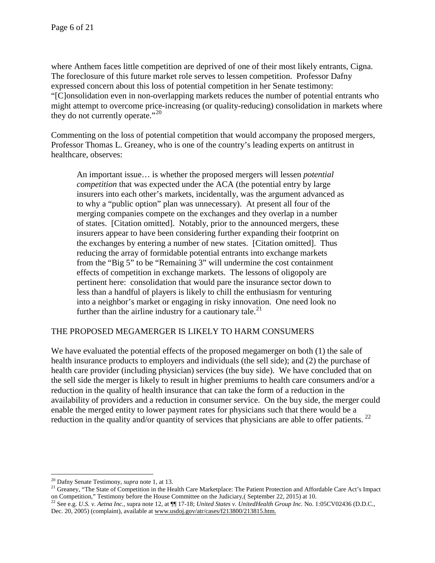where Anthem faces little competition are deprived of one of their most likely entrants, Cigna. The foreclosure of this future market role serves to lessen competition. Professor Dafny expressed concern about this loss of potential competition in her Senate testimony: "[C]onsolidation even in non-overlapping markets reduces the number of potential entrants who might attempt to overcome price-increasing (or quality-reducing) consolidation in markets where they do not currently operate."<sup>[20](#page-5-0)</sup>

Commenting on the loss of potential competition that would accompany the proposed mergers, Professor Thomas L. Greaney, who is one of the country's leading experts on antitrust in healthcare, observes:

An important issue… is whether the proposed mergers will lessen *potential competition* that was expected under the ACA (the potential entry by large insurers into each other's markets, incidentally, was the argument advanced as to why a "public option" plan was unnecessary). At present all four of the merging companies compete on the exchanges and they overlap in a number of states. [Citation omitted]. Notably, prior to the announced mergers, these insurers appear to have been considering further expanding their footprint on the exchanges by entering a number of new states. [Citation omitted]. Thus reducing the array of formidable potential entrants into exchange markets from the "Big 5" to be "Remaining 3" will undermine the cost containment effects of competition in exchange markets. The lessons of oligopoly are pertinent here: consolidation that would pare the insurance sector down to less than a handful of players is likely to chill the enthusiasm for venturing into a neighbor's market or engaging in risky innovation. One need look no further than the airline industry for a cautionary tale.<sup>[21](#page-5-1)</sup>

# THE PROPOSED MEGAMERGER IS LIKELY TO HARM CONSUMERS

We have evaluated the potential effects of the proposed megamerger on both (1) the sale of health insurance products to employers and individuals (the sell side); and (2) the purchase of health care provider (including physician) services (the buy side). We have concluded that on the sell side the merger is likely to result in higher premiums to health care consumers and/or a reduction in the quality of health insurance that can take the form of a reduction in the availability of providers and a reduction in consumer service. On the buy side, the merger could enable the merged entity to lower payment rates for physicians such that there would be a reduction in the quality and/or quantity of services that physicians are able to offer patients.  $^{22}$  $^{22}$  $^{22}$ 

<span id="page-5-1"></span><span id="page-5-0"></span><sup>&</sup>lt;sup>20</sup> Dafny Senate Testimony, *supra* note 1, at 13.<br><sup>21</sup> Greaney, "The State of Competition in the Health Care Marketplace: The Patient Protection and Affordable Care Act's Impact on Competition," Testimony before the House Committee on the Judiciary, (September 22, 2015) at 10.<br><sup>22</sup> See e.g. *U.S. v. Aetna Inc.*, supra note 12, at  $\P$  17-18; *United States v. United Health Group Inc.* No. 1:05CV02

<span id="page-5-2"></span>Dec. 20, 2005) (complaint), available a[t www.usdoj.gov/atr/cases/f213800/213815.htm.](http://www.usdoj.gov/atr/cases/f213800/213815.htm)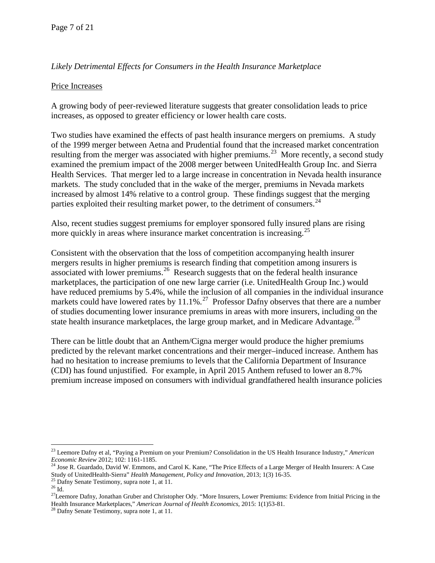# *Likely Detrimental Effects for Consumers in the Health Insurance Marketplace*

## Price Increases

A growing body of peer-reviewed literature suggests that greater consolidation leads to price increases, as opposed to greater efficiency or lower health care costs.

Two studies have examined the effects of past health insurance mergers on premiums. A study of the 1999 merger between Aetna and Prudential found that the increased market concentration resulting from the merger was associated with higher premiums.<sup>23</sup> More recently, a second study examined the premium impact of the 2008 merger between UnitedHealth Group Inc. and Sierra Health Services. That merger led to a large increase in concentration in Nevada health insurance markets. The study concluded that in the wake of the merger, premiums in Nevada markets increased by almost 14% relative to a control group. These findings suggest that the merging parties exploited their resulting market power, to the detriment of consumers.  $^{24}$ 

Also, recent studies suggest premiums for employer sponsored fully insured plans are rising more quickly in areas where insurance market concentration is increasing.<sup>[25](#page-6-2)</sup>

Consistent with the observation that the loss of competition accompanying health insurer mergers results in higher premiums is research finding that competition among insurers is associated with lower premiums.<sup>26</sup> Research suggests that on the federal health insurance marketplaces, the participation of one new large carrier (i.e. UnitedHealth Group Inc.) would have reduced premiums by 5.4%, while the inclusion of all companies in the individual insurance markets could have lowered rates by  $11.1\%$ .<sup>[27](#page-6-4)</sup> Professor Dafny observes that there are a number of studies documenting lower insurance premiums in areas with more insurers, including on the state health insurance marketplaces, the large group market, and in Medicare Advantage.<sup>[28](#page-6-5)</sup>

There can be little doubt that an Anthem/Cigna merger would produce the higher premiums predicted by the relevant market concentrations and their merger–induced increase. Anthem has had no hesitation to increase premiums to levels that the California Department of Insurance (CDI) has found unjustified. For example, in April 2015 Anthem refused to lower an 8.7% premium increase imposed on consumers with individual grandfathered health insurance policies

 <sup>23</sup> Leemore Dafny et al, "Paying a Premium on your Premium? Consolidation in the US Health Insurance Industry," *American* 

<span id="page-6-1"></span><span id="page-6-0"></span>*Economic Review* 2012; 102: 1161-1185.<br><sup>24</sup> Jose R. Guardado, David W. Emmons, and Carol K. Kane, "The Price Effects of a Large Merger of Health Insurers: A Case<br>Study of UnitedHealth-Sierra" *Health Management, Policy an* 

<span id="page-6-4"></span><span id="page-6-3"></span>

<span id="page-6-2"></span><sup>&</sup>lt;sup>25</sup> Dafny Senate Testimony, supra note 1, at 11.<br><sup>26</sup> Id.<br><sup>27</sup>Leemore Dafny, Jonathan Gruber and Christopher Ody. "More Insurers, Lower Premiums: Evidence from Initial Pricing in the Health Insurance Marketplaces," *American Journal of Health Economics,* 2015: 1(1)53-81. <sup>28</sup> Dafny Senate Testimony, supra note 1, at 11.

<span id="page-6-5"></span>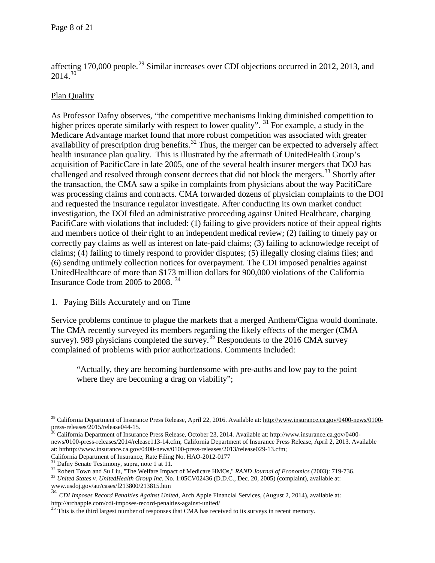affecting 170,000 people.<sup>[29](#page-7-0)</sup> Similar increases over CDI objections occurred in 2012, 2013, and  $2014^{30}$ 

# Plan Quality

As Professor Dafny observes, "the competitive mechanisms linking diminished competition to higher prices operate similarly with respect to lower quality". <sup>[31](#page-7-2)</sup> For example, a study in the Medicare Advantage market found that more robust competition was associated with greater availability of prescription drug benefits.<sup>[32](#page-7-3)</sup> Thus, the merger can be expected to adversely affect health insurance plan quality. This is illustrated by the aftermath of UnitedHealth Group's acquisition of PacificCare in late 2005, one of the several health insurer mergers that DOJ has challenged and resolved through consent decrees that did not block the mergers.<sup>[33](#page-7-4)</sup> Shortly after the transaction, the CMA saw a spike in complaints from physicians about the way PacifiCare was processing claims and contracts. CMA forwarded dozens of physician complaints to the DOI and requested the insurance regulator investigate. After conducting its own market conduct investigation, the DOI filed an administrative proceeding against United Healthcare, charging PacifiCare with violations that included: (1) failing to give providers notice of their appeal rights and members notice of their right to an independent medical review; (2) failing to timely pay or correctly pay claims as well as interest on late-paid claims; (3) failing to acknowledge receipt of claims; (4) failing to timely respond to provider disputes; (5) illegally closing claims files; and (6) sending untimely collection notices for overpayment. The CDI imposed penalties against UnitedHealthcare of more than \$173 million dollars for 900,000 violations of the California Insurance Code from 2005 to 2008. [34](#page-7-5)

# 1. Paying Bills Accurately and on Time

Service problems continue to plague the markets that a merged Anthem/Cigna would dominate. The CMA recently surveyed its members regarding the likely effects of the merger (CMA survey). 989 physicians completed the survey.<sup>[35](#page-7-6)</sup> Respondents to the 2016 CMA survey complained of problems with prior authorizations. Comments included:

"Actually, they are becoming burdensome with pre-auths and low pay to the point where they are becoming a drag on viability";

<span id="page-7-0"></span><sup>&</sup>lt;sup>29</sup> California Department of Insurance Press Release, April 22, 2016. Available at: [http://www.insurance.ca.gov/0400-news/0100](http://www.insurance.ca.gov/0400-news/0100-press-releases/2015/release044-15) [press-releases/2015/release044-15.](http://www.insurance.ca.gov/0400-news/0100-press-releases/2015/release044-15)<br><sup>30</sup> California Department of Insurance Press Release, October 23, 2014. Available at: http://www.insurance.ca.gov/0400-

<span id="page-7-1"></span>news/0100-press-releases/2014/release113-14.cfm; California Department of Insurance Press Release, April 2, 2013. Available at: htthttp://www.insurance.ca.gov/0400-news/0100-press-releases/2013/release029-13.cfm;

<span id="page-7-3"></span><span id="page-7-2"></span><sup>&</sup>lt;sup>31</sup> Dafny Senate Testimony, supra, note 1 at 11.<br><sup>32</sup> Robert Town and Su Liu, "The Welfare Impact of Medicare HMOs," *RAND Journal of Economics* (2003): 719-736.<br><sup>33</sup> United States v. UnitedHealth Group Inc. No. 1:05CV02

<span id="page-7-4"></span>[www.usdoj.gov/atr/cases/f213800/213815.htm](http://www.usdoj.gov/atr/cases/f213800/213815.htm)

<span id="page-7-5"></span><sup>&</sup>lt;sup>34</sup> *CDI Imposes Record Penalties Against United*, Arch Apple Financial Services, (August 2, 2014), available at:<br>
http://archapple.com/cdi-imposes-record-penalties-against-united/<br>
<sup>35</sup> This is the third langer.

<span id="page-7-6"></span>This is the third largest number of responses that CMA has received to its surveys in recent memory.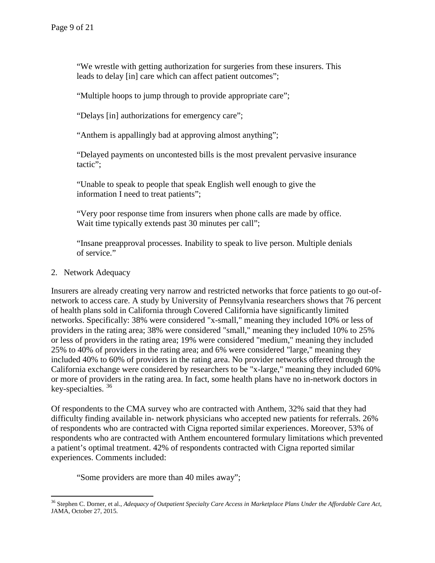"We wrestle with getting authorization for surgeries from these insurers. This leads to delay [in] care which can affect patient outcomes";

"Multiple hoops to jump through to provide appropriate care";

"Delays [in] authorizations for emergency care";

"Anthem is appallingly bad at approving almost anything";

"Delayed payments on uncontested bills is the most prevalent pervasive insurance tactic";

"Unable to speak to people that speak English well enough to give the information I need to treat patients";

"Very poor response time from insurers when phone calls are made by office. Wait time typically extends past 30 minutes per call";

"Insane preapproval processes. Inability to speak to live person. Multiple denials of service."

### 2. Network Adequacy

Insurers are already creating very narrow and restricted networks that force patients to go out-ofnetwork to access care. A study by University of Pennsylvania researchers shows that 76 percent of health plans sold in California through Covered California have significantly limited networks. Specifically: 38% were considered "x-small," meaning they included 10% or less of providers in the rating area; 38% were considered "small," meaning they included 10% to 25% or less of providers in the rating area; 19% were considered "medium," meaning they included 25% to 40% of providers in the rating area; and 6% were considered "large," meaning they included 40% to 60% of providers in the rating area. No provider networks offered through the California exchange were considered by researchers to be "x-large," meaning they included 60% or more of providers in the rating area. In fact, some health plans have no in-network doctors in key-specialties.  $36$ 

Of respondents to the CMA survey who are contracted with Anthem, 32% said that they had difficulty finding available in- network physicians who accepted new patients for referrals. 26% of respondents who are contracted with Cigna reported similar experiences. Moreover, 53% of respondents who are contracted with Anthem encountered formulary limitations which prevented a patient's optimal treatment. 42% of respondents contracted with Cigna reported similar experiences. Comments included:

"Some providers are more than 40 miles away";

<span id="page-8-0"></span> <sup>36</sup> Stephen C. Dorner, et al., *Adequacy of Outpatient Specialty Care Access in Marketplace Plans Under the Affordable Care Act*, JAMA, October 27, 2015.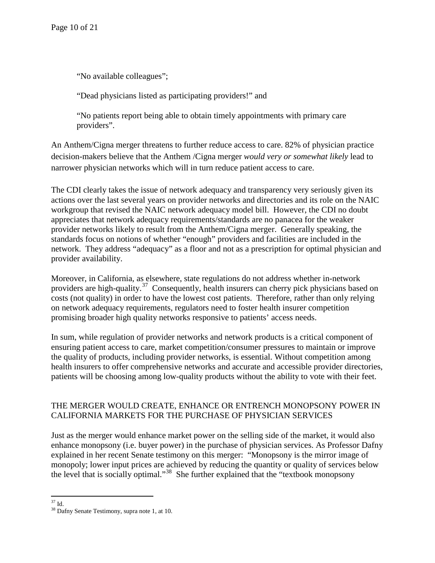"No available colleagues";

"Dead physicians listed as participating providers!" and

"No patients report being able to obtain timely appointments with primary care providers".

An Anthem/Cigna merger threatens to further reduce access to care. 82% of physician practice decision-makers believe that the Anthem /Cigna merger *would very or somewhat likely* lead to narrower physician networks which will in turn reduce patient access to care.

The CDI clearly takes the issue of network adequacy and transparency very seriously given its actions over the last several years on provider networks and directories and its role on the NAIC workgroup that revised the NAIC network adequacy model bill. However, the CDI no doubt appreciates that network adequacy requirements/standards are no panacea for the weaker provider networks likely to result from the Anthem/Cigna merger. Generally speaking, the standards focus on notions of whether "enough" providers and facilities are included in the network. They address "adequacy" as a floor and not as a prescription for optimal physician and provider availability.

Moreover, in California, as elsewhere, state regulations do not address whether in-network providers are high-quality.<sup>[37](#page-9-0)</sup> Consequently, health insurers can cherry pick physicians based on costs (not quality) in order to have the lowest cost patients. Therefore, rather than only relying on network adequacy requirements, regulators need to foster health insurer competition promising broader high quality networks responsive to patients' access needs.

In sum, while regulation of provider networks and network products is a critical component of ensuring patient access to care, market competition/consumer pressures to maintain or improve the quality of products, including provider networks, is essential. Without competition among health insurers to offer comprehensive networks and accurate and accessible provider directories, patients will be choosing among low-quality products without the ability to vote with their feet.

# THE MERGER WOULD CREATE, ENHANCE OR ENTRENCH MONOPSONY POWER IN CALIFORNIA MARKETS FOR THE PURCHASE OF PHYSICIAN SERVICES

Just as the merger would enhance market power on the selling side of the market, it would also enhance monopsony (i.e. buyer power) in the purchase of physician services. As Professor Dafny explained in her recent Senate testimony on this merger: "Monopsony is the mirror image of monopoly; lower input prices are achieved by reducing the quantity or quality of services below the level that is socially optimal."[38](#page-9-1) She further explained that the "textbook monopsony

<span id="page-9-1"></span><span id="page-9-0"></span> $37$  Id.<br> $38$  Dafny Senate Testimony, supra note 1, at 10.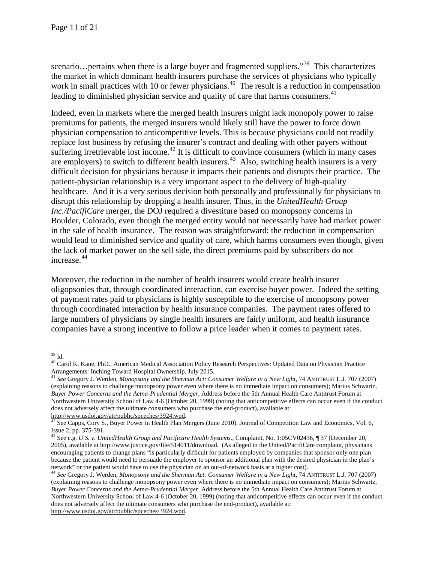scenario…pertains when there is a large buyer and fragmented suppliers."<sup>39</sup> This characterizes the market in which dominant health insurers purchase the services of physicians who typically work in small practices with 10 or fewer physicians.<sup>40</sup> The result is a reduction in compensation leading to diminished physician service and quality of care that harms consumers.  $41$ 

Indeed, even in markets where the merged health insurers might lack monopoly power to raise premiums for patients, the merged insurers would likely still have the power to force down physician compensation to anticompetitive levels. This is because physicians could not readily replace lost business by refusing the insurer's contract and dealing with other payers without suffering irretrievable lost income.<sup>[42](#page-10-3)</sup> It is difficult to convince consumers (which in many cases are employers) to switch to different health insurers.<sup>43</sup> Also, switching health insurers is a very difficult decision for physicians because it impacts their patients and disrupts their practice. The patient-physician relationship is a very important aspect to the delivery of high-quality healthcare. And it is a very serious decision both personally and professionally for physicians to disrupt this relationship by dropping a health insurer. Thus, in the *UnitedHealth Group Inc./PacifiCare* merger, the DOJ required a divestiture based on monopsony concerns in Boulder, Colorado, even though the merged entity would not necessarily have had market power in the sale of health insurance. The reason was straightforward: the reduction in compensation would lead to diminished service and quality of care, which harms consumers even though, given the lack of market power on the sell side, the direct premiums paid by subscribers do not increase.<sup>[44](#page-10-5)</sup>

Moreover, the reduction in the number of health insurers would create health insurer oligopsonies that, through coordinated interaction, can exercise buyer power. Indeed the setting of payment rates paid to physicians is highly susceptible to the exercise of monopsony power through coordinated interaction by health insurance companies. The payment rates offered to large numbers of physicians by single health insurers are fairly uniform, and health insurance companies have a strong incentive to follow a price leader when it comes to payment rates.

<span id="page-10-1"></span><span id="page-10-0"></span><sup>&</sup>lt;sup>39</sup> Id.<br><sup>40</sup> Carol K. Kane, PhD., American Medical Association Policy Research Perspectives: Updated Data on Physician Practice Arrangements: Inching Toward Hospital Ownership, July 2015.

<span id="page-10-2"></span><sup>41</sup> *See* Gregory J. Werden, *Monopsony and the Sherman Act: Consumer Welfare in a New Light*, 74 ANTITRUST L.J*.* 707 (2007) (explaining reasons to challenge monopsony power even where there is no immediate impact on consumers); Marius Schwartz, *Buyer Power Concerns and the Aetna-Prudential Merger,* Address before the 5th Annual Health Care Antitrust Forum at Northwestern University School of Law 4-6 (October 20, 1999) (noting that anticompetitive effects can occur even if the conduct does not adversely affect the ultimate consumers who purchase the end-product), available at:

<span id="page-10-3"></span>[http://www.usdoj.gov/atr/public/spceches/3924.wpd.](http://www.usdoj.gov/atr/public/spceches/3924.wpd)  $\frac{42}{42}$  See Capps, Cory S., Buyer Power in Health Plan Mergers (June 2010). Journal of Competition Law and Economics, Vol. 6, Issue 2, pp. 375-391.

<span id="page-10-4"></span><sup>&</sup>lt;sup>43</sup> See e.g. *U.S. v. UnitedHealth Group and Pacificare Health Systems.*, Complaint, No. 1:05CV02436, ¶ 37 (December 20, 2005), available at http://www.justice.gov/file/514011/download. (As alleged in the United/PacifiCare complaint, physicians encouraging patients to change plans "is particularly difficult for patients employed by companies that sponsor only one plan because the patient would need to persuade the employer to sponsor an additional plan with the desired physician in the plan's network" or the patient would have to use the physician on an out-of-network basis at a higher cost)..<br><sup>44</sup> See Gregory J. Werden, *Monopsony and the Sherman Act: Consumer Welfare in a New Light*, 74 ANTITRUST L.J. 707 (20

<span id="page-10-5"></span><sup>(</sup>explaining reasons to challenge monopsony power even where there is no immediate impact on consumers); Marius Schwartz, *Buyer Power Concerns and the Aetna-Prudential Merger,* Address before the 5th Annual Health Care Antitrust Forum at Northwestern University School of Law 4-6 (October 20, 1999) (noting that anticompetitive effects can occur even if the conduct does not adversely affect the ultimate consumers who purchase the end-product), available at: [http://www.usdoj.gov/atr/public/spceches/3924.wpd.](http://www.usdoj.gov/atr/public/spceches/3924.wpd)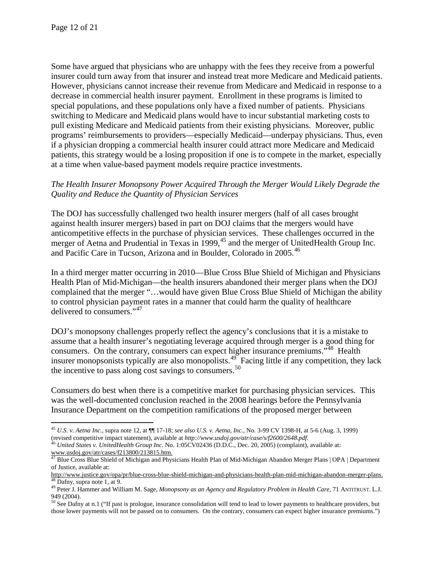Some have argued that physicians who are unhappy with the fees they receive from a powerful insurer could turn away from that insurer and instead treat more Medicare and Medicaid patients. However, physicians cannot increase their revenue from Medicare and Medicaid in response to a decrease in commercial health insurer payment. Enrollment in these programs is limited to special populations, and these populations only have a fixed number of patients. Physicians switching to Medicare and Medicaid plans would have to incur substantial marketing costs to pull existing Medicare and Medicaid patients from their existing physicians. Moreover, public programs' reimbursements to providers—especially Medicaid—underpay physicians. Thus, even if a physician dropping a commercial health insurer could attract more Medicare and Medicaid patients, this strategy would be a losing proposition if one is to compete in the market, especially at a time when value-based payment models require practice investments.

## *The Health Insurer Monopsony Power Acquired Through the Merger Would Likely Degrade the Quality and Reduce the Quantity of Physician Services*

The DOJ has successfully challenged two health insurer mergers (half of all cases brought against health insurer mergers) based in part on DOJ claims that the mergers would have anticompetitive effects in the purchase of physician services. These challenges occurred in the merger of Aetna and Prudential in Texas in 1999,<sup>[45](#page-11-0)</sup> and the merger of UnitedHealth Group Inc. and Pacific Care in Tucson, Arizona and in Boulder, Colorado in 2005.<sup>[46](#page-11-1)</sup>

In a third merger matter occurring in 2010—Blue Cross Blue Shield of Michigan and Physicians Health Plan of Mid-Michigan—the health insurers abandoned their merger plans when the DOJ complained that the merger "…would have given Blue Cross Blue Shield of Michigan the ability to control physician payment rates in a manner that could harm the quality of healthcare delivered to consumers."<sup>[47](#page-11-2)</sup>

DOJ's monopsony challenges properly reflect the agency's conclusions that it is a mistake to assume that a health insurer's negotiating leverage acquired through merger is a good thing for consumers. On the contrary, consumers can expect higher insurance premiums."[48](#page-11-3) Health insurer monopsonists typically are also monopolists.<sup>49</sup> Facing little if any competition, they lack the incentive to pass along cost savings to consumers. $50$ 

Consumers do best when there is a competitive market for purchasing physician services. This was the well-documented conclusion reached in the 2008 hearings before the Pennsylvania Insurance Department on the competition ramifications of the proposed merger between

<span id="page-11-0"></span><sup>&</sup>lt;sup>45</sup> *U.S. v. Aetna Inc.*, supra note 12, at  $\P\P$  17-18; *see also U.S. v. Aetna, Inc.*, No. 3-99 CV 1398-H, at 5-6 (Aug. 3, 1999) (revised competitive impact statement), available at *http://www.usdoj.gov/atr/case/s/f2600* 

<span id="page-11-1"></span><sup>&</sup>lt;sup>46</sup> United States v. UnitedHealth Group Inc. No. 1:05CV02436 (D.D.C., Dec. 20, 2005) (complaint), available at: [www.usdoj.gov/atr/cases/f213800/213815.htm.](http://www.usdoj.gov/atr/cases/f213800/213815.htm) <sup>47</sup> Blue Cross Blue Shield of Michigan and Physicians Health Plan of Mid-Michigan Abandon Merger Plans | OPA | Department

<span id="page-11-2"></span>of Justice, available at:<br>http://www.justice.gov/opa/pr/blue-cross-blue-shield-michigan-and-physicians-health-plan-mid-michigan-abandon-merger-plans.

<span id="page-11-3"></span> $\frac{48}{49}$  Dafny, supra note 1, at 9.<br><sup>49</sup> Peter J. Hammer and William M. Sage, *Monopsony as an Agency and Regulatory Problem in Health Care*, 71 ANTITRUST. L.J.

<span id="page-11-4"></span><sup>949 (2004).</sup>

<span id="page-11-5"></span> $50$  See Dafny at n.1 ("If past is prologue, insurance consolidation will tend to lead to lower payments to healthcare providers, but those lower payments will not be passed on to consumers. On the contrary, consumers can expect higher insurance premiums.")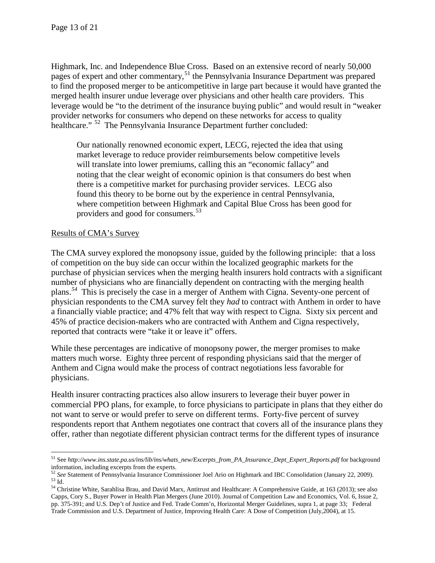Highmark, Inc. and Independence Blue Cross. Based on an extensive record of nearly 50,000 pages of expert and other commentary,<sup>[51](#page-12-0)</sup> the Pennsylvania Insurance Department was prepared to find the proposed merger to be anticompetitive in large part because it would have granted the merged health insurer undue leverage over physicians and other health care providers. This leverage would be "to the detriment of the insurance buying public" and would result in "weaker provider networks for consumers who depend on these networks for access to quality healthcare." <sup>[52](#page-12-1)</sup> The Pennsylvania Insurance Department further concluded:

Our nationally renowned economic expert, LECG, rejected the idea that using market leverage to reduce provider reimbursements below competitive levels will translate into lower premiums, calling this an "economic fallacy" and noting that the clear weight of economic opinion is that consumers do best when there is a competitive market for purchasing provider services. LECG also found this theory to be borne out by the experience in central Pennsylvania, where competition between Highmark and Capital Blue Cross has been good for providers and good for consumers.<sup>[53](#page-12-2)</sup>

# Results of CMA's Survey

The CMA survey explored the monopsony issue, guided by the following principle: that a loss of competition on the buy side can occur within the localized geographic markets for the purchase of physician services when the merging health insurers hold contracts with a significant number of physicians who are financially dependent on contracting with the merging health plans.*[54](#page-12-3)* This is precisely the case in a merger of Anthem with Cigna. Seventy-one percent of physician respondents to the CMA survey felt they *had* to contract with Anthem in order to have a financially viable practice; and 47% felt that way with respect to Cigna. Sixty six percent and 45% of practice decision-makers who are contracted with Anthem and Cigna respectively, reported that contracts were "take it or leave it" offers.

While these percentages are indicative of monopsony power, the merger promises to make matters much worse. Eighty three percent of responding physicians said that the merger of Anthem and Cigna would make the process of contract negotiations less favorable for physicians.

Health insurer contracting practices also allow insurers to leverage their buyer power in commercial PPO plans, for example, to force physicians to participate in plans that they either do not want to serve or would prefer to serve on different terms. Forty-five percent of survey respondents report that Anthem negotiates one contract that covers all of the insurance plans they offer, rather than negotiate different physician contract terms for the different types of insurance

<span id="page-12-0"></span> <sup>51</sup> See *http://www.ins.state.pa.us/ins/lib/ins/whats\_new/Excerpts\_from\_PA\_Insurance\_Dept\_Expert\_Reports.pdf* for background information, including excerpts from the experts.<br><sup>52</sup> See Statement of Pennsylvania Insurance Commissioner Joel Ario on Highmark and IBC Consolidation (January 22, 2009).

<span id="page-12-1"></span>

<span id="page-12-3"></span><span id="page-12-2"></span><sup>&</sup>lt;sup>53</sup> Id.<br><sup>54</sup> Christine White, Sarahlisa Brau, and David Marx, Antitrust and Healthcare: A Comprehensive Guide, at 163 (2013); see also Capps, Cory S., Buyer Power in Health Plan Mergers (June 2010). Journal of Competition Law and Economics, Vol. 6, Issue 2, pp. 375-391; and U.S. Dep't of Justice and Fed. Trade Comm'n, Horizontal Merger Guidelines, supra 1, at page 33; Federal Trade Commission and U.S. Department of Justice, Improving Health Care: A Dose of Competition (July,2004), at 15.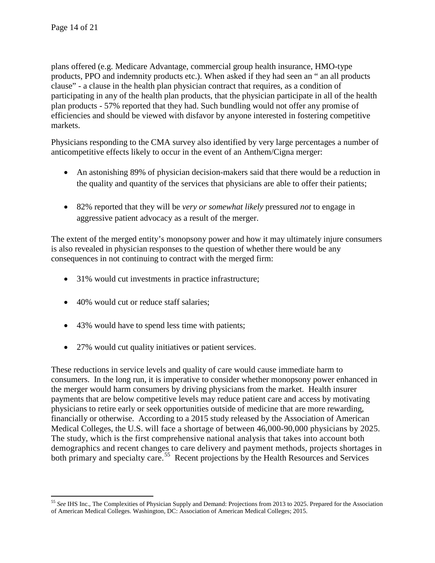plans offered (e.g. Medicare Advantage, commercial group health insurance, HMO-type products, PPO and indemnity products etc.). When asked if they had seen an " an all products clause" - a clause in the health plan physician contract that requires, as a condition of participating in any of the health plan products, that the physician participate in all of the health plan products - 57% reported that they had. Such bundling would not offer any promise of efficiencies and should be viewed with disfavor by anyone interested in fostering competitive markets.

Physicians responding to the CMA survey also identified by very large percentages a number of anticompetitive effects likely to occur in the event of an Anthem/Cigna merger:

- An astonishing 89% of physician decision-makers said that there would be a reduction in the quality and quantity of the services that physicians are able to offer their patients;
- 82% reported that they will be *very or somewhat likely* pressured *not* to engage in aggressive patient advocacy as a result of the merger.

The extent of the merged entity's monopsony power and how it may ultimately injure consumers is also revealed in physician responses to the question of whether there would be any consequences in not continuing to contract with the merged firm:

- 31% would cut investments in practice infrastructure;
- 40% would cut or reduce staff salaries:
- 43% would have to spend less time with patients;
- 27% would cut quality initiatives or patient services.

These reductions in service levels and quality of care would cause immediate harm to consumers. In the long run, it is imperative to consider whether monopsony power enhanced in the merger would harm consumers by driving physicians from the market. Health insurer payments that are below competitive levels may reduce patient care and access by motivating physicians to retire early or seek opportunities outside of medicine that are more rewarding, financially or otherwise. According to a 2015 study released by the Association of American Medical Colleges, the U.S. will face a shortage of between 46,000-90,000 physicians by 2025. The study, which is the first comprehensive national analysis that takes into account both demographics and recent changes to care delivery and payment methods, projects shortages in both primary and specialty care.<sup>55</sup> Recent projections by the Health Resources and Services

<span id="page-13-0"></span> <sup>55</sup> *See* IHS Inc., The Complexities of Physician Supply and Demand: Projections from 2013 to 2025. Prepared for the Association of American Medical Colleges. Washington, DC: Association of American Medical Colleges; 2015.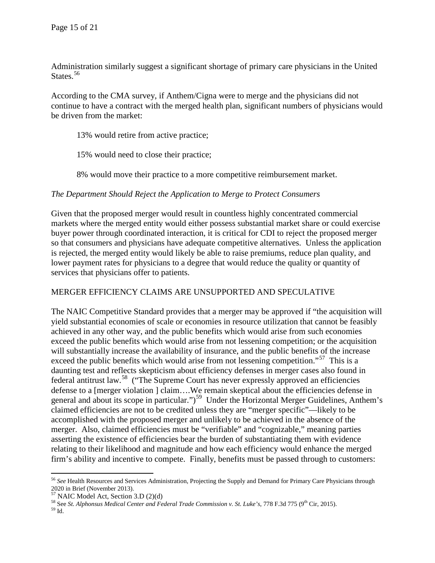Administration similarly suggest a significant shortage of primary care physicians in the United States.<sup>[56](#page-14-0)</sup>

According to the CMA survey, if Anthem/Cigna were to merge and the physicians did not continue to have a contract with the merged health plan, significant numbers of physicians would be driven from the market:

13% would retire from active practice;

15% would need to close their practice;

8% would move their practice to a more competitive reimbursement market.

## *The Department Should Reject the Application to Merge to Protect Consumers*

Given that the proposed merger would result in countless highly concentrated commercial markets where the merged entity would either possess substantial market share or could exercise buyer power through coordinated interaction, it is critical for CDI to reject the proposed merger so that consumers and physicians have adequate competitive alternatives. Unless the application is rejected, the merged entity would likely be able to raise premiums, reduce plan quality, and lower payment rates for physicians to a degree that would reduce the quality or quantity of services that physicians offer to patients.

### MERGER EFFICIENCY CLAIMS ARE UNSUPPORTED AND SPECULATIVE

The NAIC Competitive Standard provides that a merger may be approved if "the acquisition will yield substantial economies of scale or economies in resource utilization that cannot be feasibly achieved in any other way, and the public benefits which would arise from such economies exceed the public benefits which would arise from not lessening competition; or the acquisition will substantially increase the availability of insurance, and the public benefits of the increase exceed the public benefits which would arise from not lessening competition."<sup>57</sup> This is a daunting test and reflects skepticism about efficiency defenses in merger cases also found in federal antitrust law.[58](#page-14-2) ("The Supreme Court has never expressly approved an efficiencies defense to a [merger violation ] claim….We remain skeptical about the efficiencies defense in general and about its scope in particular.")<sup>[59](#page-14-3)</sup> Under the Horizontal Merger Guidelines, Anthem's claimed efficiencies are not to be credited unless they are "merger specific"—likely to be accomplished with the proposed merger and unlikely to be achieved in the absence of the merger. Also, claimed efficiencies must be "verifiable" and "cognizable," meaning parties asserting the existence of efficiencies bear the burden of substantiating them with evidence relating to their likelihood and magnitude and how each efficiency would enhance the merged firm's ability and incentive to compete. Finally, benefits must be passed through to customers:

<span id="page-14-0"></span> <sup>56</sup> *See* Health Resources and Services Administration, Projecting the Supply and Demand for Primary Care Physicians through 2020 in Brief (November 2013).<br> $57$  NAIC Model Act, Section 3.D (2)(d)

<span id="page-14-3"></span><span id="page-14-2"></span><span id="page-14-1"></span><sup>&</sup>lt;sup>58</sup> See *St. Alphonsus Medical Center and Federal Trade Commission v. St. Luke's*, 778 F.3d 775 (9<sup>th</sup> Cir, 2015).  $59$  Id.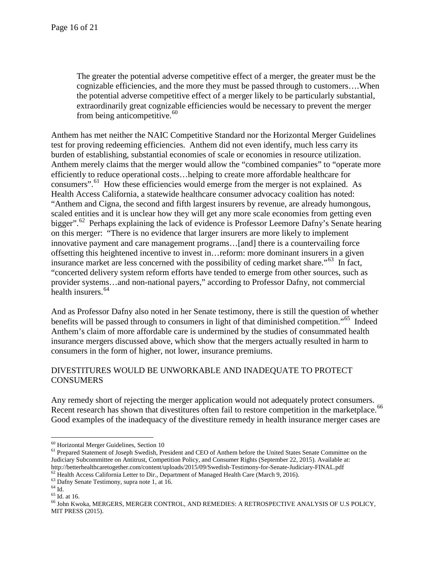The greater the potential adverse competitive effect of a merger, the greater must be the cognizable efficiencies, and the more they must be passed through to customers….When the potential adverse competitive effect of a merger likely to be particularly substantial, extraordinarily great cognizable efficiencies would be necessary to prevent the merger from being anticompetitive.<sup>[60](#page-15-0)</sup>

Anthem has met neither the NAIC Competitive Standard nor the Horizontal Merger Guidelines test for proving redeeming efficiencies. Anthem did not even identify, much less carry its burden of establishing, substantial economies of scale or economies in resource utilization. Anthem merely claims that the merger would allow the "combined companies" to "operate more efficiently to reduce operational costs…helping to create more affordable healthcare for consumers".<sup>[61](#page-15-1)</sup> How these efficiencies would emerge from the merger is not explained. As Health Access California, a statewide healthcare consumer advocacy coalition has noted: "Anthem and Cigna, the second and fifth largest insurers by revenue, are already humongous, scaled entities and it is unclear how they will get any more scale economies from getting even bigger".<sup>62</sup> Perhaps explaining the lack of evidence is Professor Leemore Dafny's Senate hearing on this merger: "There is no evidence that larger insurers are more likely to implement innovative payment and care management programs…[and] there is a countervailing force offsetting this heightened incentive to invest in…reform: more dominant insurers in a given insurance market are less concerned with the possibility of ceding market share.<sup>563</sup> In fact, "concerted delivery system reform efforts have tended to emerge from other sources, such as provider systems…and non-national payers," according to Professor Dafny, not commercial health insurers.<sup>[64](#page-15-4)</sup>

And as Professor Dafny also noted in her Senate testimony, there is still the question of whether benefits will be passed through to consumers in light of that diminished competition."<sup>65</sup> Indeed Anthem's claim of more affordable care is undermined by the studies of consummated health insurance mergers discussed above, which show that the mergers actually resulted in harm to consumers in the form of higher, not lower, insurance premiums.

# DIVESTITURES WOULD BE UNWORKABLE AND INADEQUATE TO PROTECT **CONSUMERS**

Any remedy short of rejecting the merger application would not adequately protect consumers. Recent research has shown that divestitures often fail to restore competition in the marketplace.<sup>[66](#page-15-6)</sup> Good examples of the inadequacy of the divestiture remedy in health insurance merger cases are

<span id="page-15-1"></span><span id="page-15-0"></span> $60$  Horizontal Merger Guidelines, Section 10<br> $61$  Prepared Statement of Joseph Swedish, President and CEO of Anthem before the United States Senate Committee on the Judiciary Subcommittee on Antitrust, Competition Policy, and Consumer Rights (September 22, 2015). Available at:<br>http://betterhealthcaretogether.com/content/uploads/2015/09/Swedish-Testimony-for-Senate-Judiciary-FINAL.pdf

<span id="page-15-5"></span><span id="page-15-4"></span>

<span id="page-15-6"></span>

<span id="page-15-3"></span><span id="page-15-2"></span><sup>&</sup>lt;sup>62</sup> Health Access California Letter to Dir., Department of Managed Health Care (March 9, 2016).<br>
<sup>63</sup> Dafny Senate Testimony, supra note 1, at 16.<br>
<sup>64</sup> Id.<br>
<sup>65</sup> Id. at 16.<br>
<sup>66</sup> John Kwoka, MERGERS, MERGER CONTROL, AND MIT PRESS (2015).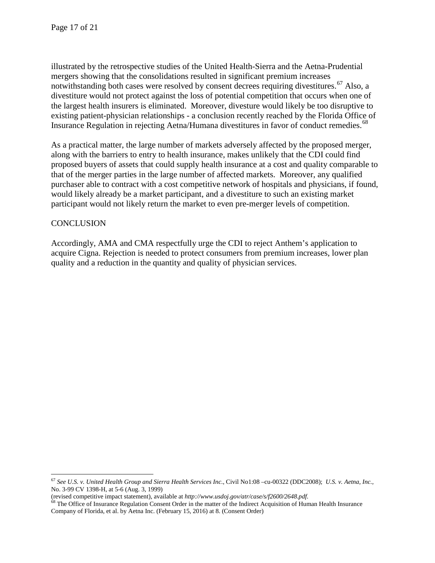illustrated by the retrospective studies of the United Health-Sierra and the Aetna-Prudential mergers showing that the consolidations resulted in significant premium increases notwithstanding both cases were resolved by consent decrees requiring divestitures.<sup>[67](#page-16-0)</sup> Also, a divestiture would not protect against the loss of potential competition that occurs when one of the largest health insurers is eliminated. Moreover, divesture would likely be too disruptive to existing patient-physician relationships - a conclusion recently reached by the Florida Office of Insurance Regulation in rejecting Aetna/Humana divestitures in favor of conduct remedies.<sup>[68](#page-16-1)</sup>

As a practical matter, the large number of markets adversely affected by the proposed merger, along with the barriers to entry to health insurance, makes unlikely that the CDI could find proposed buyers of assets that could supply health insurance at a cost and quality comparable to that of the merger parties in the large number of affected markets. Moreover, any qualified purchaser able to contract with a cost competitive network of hospitals and physicians, if found, would likely already be a market participant, and a divestiture to such an existing market participant would not likely return the market to even pre-merger levels of competition.

## **CONCLUSION**

Accordingly, AMA and CMA respectfully urge the CDI to reject Anthem's application to acquire Cigna. Rejection is needed to protect consumers from premium increases, lower plan quality and a reduction in the quantity and quality of physician services.

<span id="page-16-0"></span> <sup>67</sup> *See U.S. v. United Health Group and Sierra Health Services Inc*., Civil No1:08 –cu-00322 (DDC2008); *U.S. v. Aetna, Inc.,*  No. 3-99 CV 1398-H, at 5-6 (Aug. 3, 1999)

<span id="page-16-1"></span><sup>(</sup>revised competitive impact statement), available at http://www.usdoj.gov/atr/case/s/f2600/2648.pdf.<br><sup>68</sup> The Office of Insurance Regulation Consent Order in the matter of the Indirect Acquisition of Human Health Insurance Company of Florida, et al. by Aetna Inc. (February 15, 2016) at 8. (Consent Order)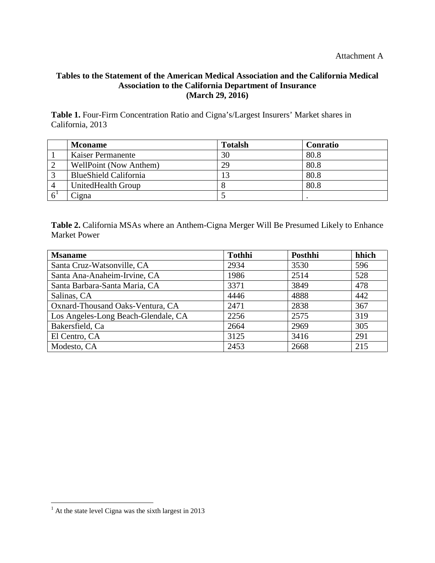# **Tables to the Statement of the American Medical Association and the California Medical Association to the California Department of Insurance (March 29, 2016)**

**Table 1.** Four-Firm Concentration Ratio and Cigna's/Largest Insurers' Market shares in California, 2013

| <b>Mconame</b>                | <b>Totalsh</b> | <b>Conratio</b> |
|-------------------------------|----------------|-----------------|
| <b>Kaiser Permanente</b>      | 30             | 80.8            |
| <b>WellPoint (Now Anthem)</b> | 29             | 80.8            |
| <b>BlueShield California</b>  | 12             | 80.8            |
| UnitedHealth Group            |                | 80.8            |
| Ligna                         |                |                 |

**Table 2.** California MSAs where an Anthem-Cigna Merger Will Be Presumed Likely to Enhance Market Power

| <b>Msaname</b>                      | <b>Tothhi</b> | Posthhi | hhich |
|-------------------------------------|---------------|---------|-------|
| Santa Cruz-Watsonville, CA          | 2934          | 3530    | 596   |
| Santa Ana-Anaheim-Irvine, CA        | 1986          | 2514    | 528   |
| Santa Barbara-Santa Maria, CA       | 3371          | 3849    | 478   |
| Salinas, CA                         | 4446          | 4888    | 442   |
| Oxnard-Thousand Oaks-Ventura, CA    | 2471          | 2838    | 367   |
| Los Angeles-Long Beach-Glendale, CA | 2256          | 2575    | 319   |
| Bakersfield, Ca                     | 2664          | 2969    | 305   |
| El Centro, CA                       | 3125          | 3416    | 291   |
| Modesto, CA                         | 2453          | 2668    | 215   |

<span id="page-17-0"></span> $1$  At the state level Cigna was the sixth largest in 2013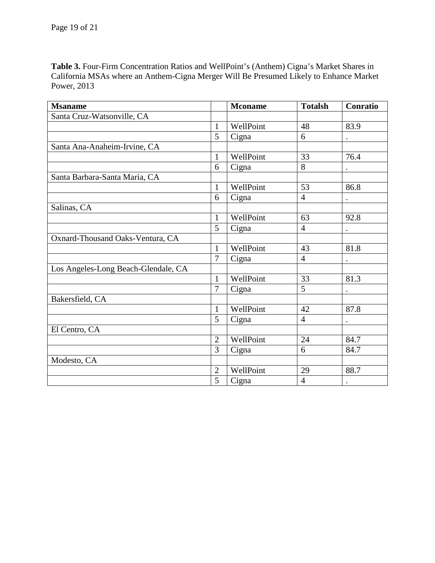**Table 3.** Four-Firm Concentration Ratios and WellPoint's (Anthem) Cigna's Market Shares in California MSAs where an Anthem-Cigna Merger Will Be Presumed Likely to Enhance Market Power, 2013

| <b>Msaname</b>                      |                | <b>Mconame</b> | <b>Totalsh</b> | Conratio  |
|-------------------------------------|----------------|----------------|----------------|-----------|
| Santa Cruz-Watsonville, CA          |                |                |                |           |
|                                     | $\mathbf{1}$   | WellPoint      | 48             | 83.9      |
|                                     | 5              | Cigna          | 6              | $\bullet$ |
| Santa Ana-Anaheim-Irvine, CA        |                |                |                |           |
|                                     | $\mathbf{1}$   | WellPoint      | 33             | 76.4      |
|                                     | 6              | Cigna          | 8              | $\bullet$ |
| Santa Barbara-Santa Maria, CA       |                |                |                |           |
|                                     | $\mathbf{1}$   | WellPoint      | 53             | 86.8      |
|                                     | 6              | Cigna          | $\overline{4}$ | $\bullet$ |
| Salinas, CA                         |                |                |                |           |
|                                     | $\mathbf{1}$   | WellPoint      | 63             | 92.8      |
|                                     | 5              | Cigna          | $\overline{4}$ | $\bullet$ |
| Oxnard-Thousand Oaks-Ventura, CA    |                |                |                |           |
|                                     | $\mathbf{1}$   | WellPoint      | 43             | 81.8      |
|                                     | 7              | Cigna          | $\overline{4}$ |           |
| Los Angeles-Long Beach-Glendale, CA |                |                |                |           |
|                                     | $\mathbf{1}$   | WellPoint      | 33             | 81.3      |
|                                     | 7              | Cigna          | 5              |           |
| Bakersfield, CA                     |                |                |                |           |
|                                     | $\mathbf{1}$   | WellPoint      | 42             | 87.8      |
|                                     | 5              | Cigna          | $\overline{4}$ |           |
| El Centro, CA                       |                |                |                |           |
|                                     | $\overline{2}$ | WellPoint      | 24             | 84.7      |
|                                     | 3              | Cigna          | 6              | 84.7      |
| Modesto, CA                         |                |                |                |           |
|                                     | $\overline{2}$ | WellPoint      | 29             | 88.7      |
|                                     | 5              | Cigna          | $\overline{4}$ | $\bullet$ |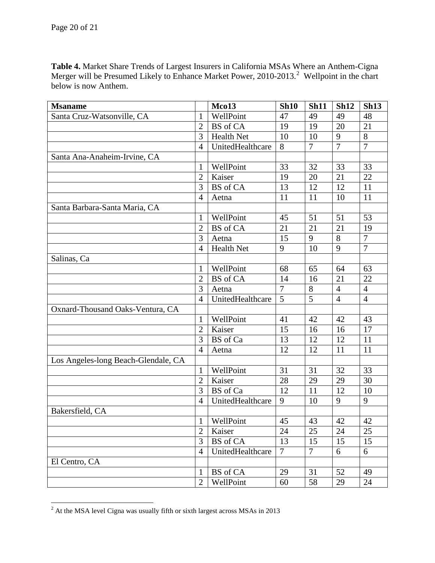**Table 4.** Market Share Trends of Largest Insurers in California MSAs Where an Anthem-Cigna Merger will be Presumed Likely to Enhance Market Power, [2](#page-19-0)010-2013.<sup>2</sup> Wellpoint in the chart below is now Anthem.

| <b>Msaname</b>                      |                | Mco13             | <b>Sh10</b> | <b>Sh11</b>     | <b>Sh12</b>    | <b>Sh13</b>    |
|-------------------------------------|----------------|-------------------|-------------|-----------------|----------------|----------------|
| Santa Cruz-Watsonville, CA          | $\mathbf{1}$   | WellPoint         | 47          | 49              | 49             | 48             |
|                                     | $\overline{2}$ | <b>BS</b> of CA   | 19          | 19              | 20             | 21             |
|                                     | 3              | <b>Health Net</b> | 10          | 10              | 9              | 8              |
|                                     | $\overline{4}$ | UnitedHealthcare  | 8           | $\overline{7}$  | $\overline{7}$ | $\overline{7}$ |
| Santa Ana-Anaheim-Irvine, CA        |                |                   |             |                 |                |                |
|                                     | $\mathbf{1}$   | WellPoint         | 33          | 32              | 33             | 33             |
|                                     | $\overline{2}$ | Kaiser            | 19          | 20              | 21             | 22             |
|                                     | 3              | <b>BS</b> of CA   | 13          | 12              | 12             | 11             |
|                                     | $\overline{4}$ | Aetna             | 11          | 11              | 10             | 11             |
| Santa Barbara-Santa Maria, CA       |                |                   |             |                 |                |                |
|                                     | $\mathbf{1}$   | WellPoint         | 45          | 51              | 51             | 53             |
|                                     | $\overline{2}$ | <b>BS</b> of CA   | 21          | 21              | 21             | 19             |
|                                     | 3              | Aetna             | 15          | 9               | 8              | $\overline{7}$ |
|                                     | $\overline{4}$ | <b>Health Net</b> | 9           | 10              | 9              | $\overline{7}$ |
| Salinas, Ca                         |                |                   |             |                 |                |                |
|                                     | 1              | WellPoint         | 68          | 65              | 64             | 63             |
|                                     | $\overline{2}$ | BS of CA          | 14          | 16              | 21             | 22             |
|                                     | 3              | Aetna             | $\tau$      | $8\,$           | 4              | $\overline{4}$ |
|                                     | $\overline{4}$ | UnitedHealthcare  | 5           | 5               | $\overline{4}$ | $\overline{4}$ |
| Oxnard-Thousand Oaks-Ventura, CA    |                |                   |             |                 |                |                |
|                                     | $\mathbf{1}$   | WellPoint         | 41          | 42              | 42             | 43             |
|                                     | $\overline{2}$ | Kaiser            | 15          | 16              | 16             | 17             |
|                                     | 3              | BS of Ca          | 13          | 12              | 12             | 11             |
|                                     | $\overline{4}$ | Aetna             | 12          | 12              | 11             | 11             |
| Los Angeles-long Beach-Glendale, CA |                |                   |             |                 |                |                |
|                                     | 1              | WellPoint         | 31          | 31              | 32             | 33             |
|                                     | $\overline{2}$ | Kaiser            | 28          | 29              | 29             | 30             |
|                                     | 3              | BS of Ca          | 12          | 11              | 12             | 10             |
|                                     | $\overline{4}$ | UnitedHealthcare  | 9           | 10              | 9              | 9              |
| Bakersfield, CA                     |                |                   |             |                 |                |                |
|                                     | $\mathbf{I}$   | WellPoint         | 45          | $\overline{43}$ | 42             | 42             |
|                                     | $\overline{2}$ | Kaiser            | 24          | 25              | 24             | 25             |
|                                     | 3              | <b>BS</b> of CA   | 13          | 15              | 15             | 15             |
|                                     | $\overline{4}$ | UnitedHealthcare  | $\tau$      | $\overline{7}$  | 6              | 6              |
| El Centro, CA                       |                |                   |             |                 |                |                |
|                                     | 1              | <b>BS</b> of CA   | 29          | 31              | 52             | 49             |
|                                     | $\overline{2}$ | WellPoint         | 60          | 58              | 29             | 24             |

<span id="page-19-0"></span>At the MSA level Cigna was usually fifth or sixth largest across MSAs in 2013